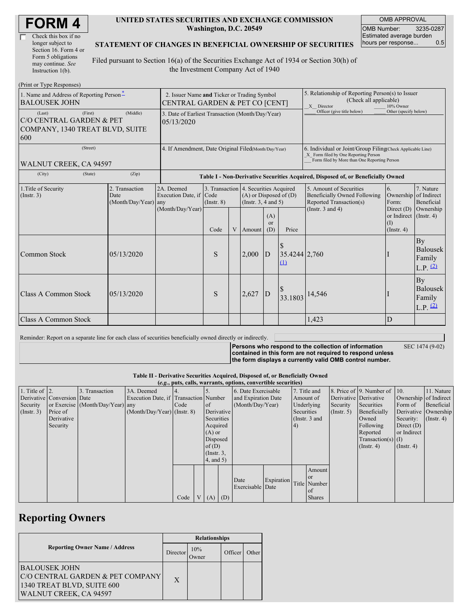| <b>FORM4</b> |
|--------------|
|--------------|

| Check this box if no  |
|-----------------------|
| longer subject to     |
| Section 16. Form 4 or |
| Form 5 obligations    |
| may continue. See     |
| Instruction $1(b)$ .  |

#### **UNITED STATES SECURITIES AND EXCHANGE COMMISSION Washington, D.C. 20549**

OMB APPROVAL OMB Number: 3235-0287 Estimated average burden hours per response... 0.5

### **STATEMENT OF CHANGES IN BENEFICIAL OWNERSHIP OF SECURITIES**

Filed pursuant to Section 16(a) of the Securities Exchange Act of 1934 or Section 30(h) of the Investment Company Act of 1940

| (Print or Type Responses)                                                               |                                                                               |                                                           |                 |   |                                                                                                 |                             |                                                                                                                                                    |                                                                                           |                                                        |                                                 |  |  |
|-----------------------------------------------------------------------------------------|-------------------------------------------------------------------------------|-----------------------------------------------------------|-----------------|---|-------------------------------------------------------------------------------------------------|-----------------------------|----------------------------------------------------------------------------------------------------------------------------------------------------|-------------------------------------------------------------------------------------------|--------------------------------------------------------|-------------------------------------------------|--|--|
| 1. Name and Address of Reporting Person-<br><b>BALOUSEK JOHN</b>                        | 2. Issuer Name and Ticker or Trading Symbol<br>CENTRAL GARDEN & PET CO [CENT] |                                                           |                 |   |                                                                                                 |                             | 5. Relationship of Reporting Person(s) to Issuer<br>(Check all applicable)<br>X Director<br>10% Owner                                              |                                                                                           |                                                        |                                                 |  |  |
| (First)<br>(Last)<br>C/O CENTRAL GARDEN & PET<br>COMPANY, 1340 TREAT BLVD, SUITE<br>600 | 3. Date of Earliest Transaction (Month/Day/Year)<br>05/13/2020                |                                                           |                 |   |                                                                                                 |                             | Officer (give title below)                                                                                                                         | Other (specify below)                                                                     |                                                        |                                                 |  |  |
| (Street)<br>WALNUT CREEK, CA 94597                                                      | 4. If Amendment, Date Original Filed(Month/Day/Year)                          |                                                           |                 |   |                                                                                                 |                             | 6. Individual or Joint/Group Filing(Check Applicable Line)<br>X Form filed by One Reporting Person<br>Form filed by More than One Reporting Person |                                                                                           |                                                        |                                                 |  |  |
| (City)<br>(State)                                                                       | (Zip)                                                                         |                                                           |                 |   |                                                                                                 |                             |                                                                                                                                                    | Table I - Non-Derivative Securities Acquired, Disposed of, or Beneficially Owned          |                                                        |                                                 |  |  |
| 1. Title of Security<br>(Insert. 3)                                                     | 2. Transaction<br>Date<br>(Month/Day/Year) any                                | 2A. Deemed<br>Execution Date, if Code<br>(Month/Day/Year) | $($ Instr. $8)$ |   | 3. Transaction 4. Securities Acquired<br>$(A)$ or Disposed of $(D)$<br>(Instr. $3, 4$ and $5$ ) |                             |                                                                                                                                                    | 5. Amount of Securities<br><b>Beneficially Owned Following</b><br>Reported Transaction(s) | <sup>6.</sup><br>Ownership<br>Form:                    | 7. Nature<br>of Indirect<br>Beneficial          |  |  |
|                                                                                         |                                                                               |                                                           | Code            | V | Amount                                                                                          | (A)<br><sub>or</sub><br>(D) | Price                                                                                                                                              | (Instr. $3$ and $4$ )                                                                     | Direct $(D)$<br>or Indirect<br>(I)<br>$($ Instr. 4 $)$ | Ownership<br>$($ Instr. 4 $)$                   |  |  |
| Common Stock                                                                            | 05/13/2020                                                                    |                                                           | S               |   | 2,000                                                                                           | $\overline{D}$              | $35.4244 \mid 2,760$<br>(1)                                                                                                                        |                                                                                           |                                                        | <b>By</b><br>Balousek<br>Family<br>$L.P.$ $(2)$ |  |  |
| Class A Common Stock                                                                    | 05/13/2020                                                                    |                                                           | S               |   | 2,627                                                                                           | D                           | 33.1803                                                                                                                                            | 14,546                                                                                    |                                                        | <b>By</b><br>Balousek<br>Family<br>$L.P.$ $(2)$ |  |  |
| <b>Class A Common Stock</b>                                                             |                                                                               |                                                           |                 |   |                                                                                                 |                             | 1.423                                                                                                                                              | D                                                                                         |                                                        |                                                 |  |  |

Reminder: Report on a separate line for each class of securities beneficially owned directly or indirectly.

**Persons who respond to the collection of information contained in this form are not required to respond unless** SEC 1474 (9-02)

**the form displays a currently valid OMB control number.**

**Table II - Derivative Securities Acquired, Disposed of, or Beneficially Owned**

| (e.g., puts, calls, warrants, options, convertible securities) |                            |                                  |                                       |      |                |                 |  |                          |            |              |               |                  |                              |                       |                  |
|----------------------------------------------------------------|----------------------------|----------------------------------|---------------------------------------|------|----------------|-----------------|--|--------------------------|------------|--------------|---------------|------------------|------------------------------|-----------------------|------------------|
| 1. Title of $\vert$ 2.                                         |                            | 3. Transaction                   | 3A. Deemed                            |      |                |                 |  | 6. Date Exercisable      |            | 7. Title and |               |                  | 8. Price of 9. Number of 10. |                       | 11. Nature       |
|                                                                | Derivative Conversion Date |                                  | Execution Date, if Transaction Number |      |                |                 |  | and Expiration Date      |            | Amount of    |               |                  | Derivative Derivative        | Ownership of Indirect |                  |
| Security                                                       |                            | or Exercise (Month/Day/Year) any |                                       | Code |                | $\circ$ f       |  | (Month/Day/Year)         |            | Underlying   |               | Security         | Securities                   | Form of               | Beneficial       |
| (Insert. 3)                                                    | Price of                   |                                  | $(Month/Day/Year)$ (Instr. 8)         |      |                | Derivative      |  |                          |            | Securities   |               | $($ Instr. 5 $)$ | Beneficially                 | Derivative Ownership  |                  |
|                                                                | Derivative                 |                                  |                                       |      |                | Securities      |  |                          |            |              | (Instr. 3 and |                  | Owned                        | Security:             | $($ Instr. 4 $)$ |
|                                                                | Security                   |                                  |                                       |      |                | Acquired        |  |                          |            | 4)           |               |                  | Following                    | Direct $(D)$          |                  |
|                                                                |                            |                                  |                                       |      |                | $(A)$ or        |  |                          |            |              |               |                  | Reported                     | or Indirect           |                  |
|                                                                |                            |                                  |                                       |      |                | Disposed        |  |                          |            |              |               |                  | Transaction(s) $(I)$         |                       |                  |
|                                                                |                            |                                  |                                       |      |                | of(D)           |  |                          |            |              |               |                  | $($ Instr. 4 $)$             | $($ Instr. 4 $)$      |                  |
|                                                                |                            |                                  |                                       |      |                | $($ Instr. $3,$ |  |                          |            |              |               |                  |                              |                       |                  |
|                                                                |                            |                                  |                                       |      |                | $4$ , and $5$ ) |  |                          |            |              |               |                  |                              |                       |                  |
|                                                                |                            |                                  |                                       |      |                |                 |  |                          |            |              | Amount        |                  |                              |                       |                  |
|                                                                |                            |                                  |                                       |      |                |                 |  |                          | Expiration |              | <sub>or</sub> |                  |                              |                       |                  |
|                                                                |                            |                                  |                                       |      |                |                 |  | Date<br>Exercisable Date |            |              | Title Number  |                  |                              |                       |                  |
|                                                                |                            |                                  |                                       |      |                |                 |  |                          |            |              | of            |                  |                              |                       |                  |
|                                                                |                            |                                  |                                       | Code | V <sub>1</sub> | $(A)$ $(D)$     |  |                          |            |              | <b>Shares</b> |                  |                              |                       |                  |

## **Reporting Owners**

|                                       | <b>Relationships</b> |                     |         |       |  |  |  |  |
|---------------------------------------|----------------------|---------------------|---------|-------|--|--|--|--|
| <b>Reporting Owner Name / Address</b> |                      | 10%<br><b>Twner</b> | Officer | Other |  |  |  |  |
| BALOUSEK JOHN                         |                      |                     |         |       |  |  |  |  |
| C/O CENTRAL GARDEN & PET COMPANY      | $\mathbf{X}$         |                     |         |       |  |  |  |  |
| 1340 TREAT BLVD, SUITE 600            |                      |                     |         |       |  |  |  |  |
| WALNUT CREEK, CA 94597                |                      |                     |         |       |  |  |  |  |